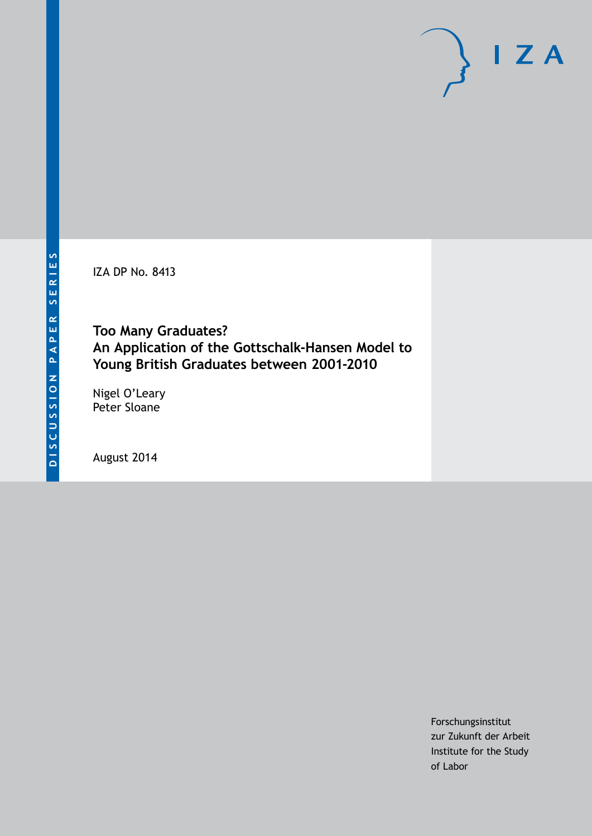IZA DP No. 8413

# **Too Many Graduates? An Application of the Gottschalk-Hansen Model to Young British Graduates between 2001-2010**

Nigel O'Leary Peter Sloane

August 2014

Forschungsinstitut zur Zukunft der Arbeit Institute for the Study of Labor

 $I Z A$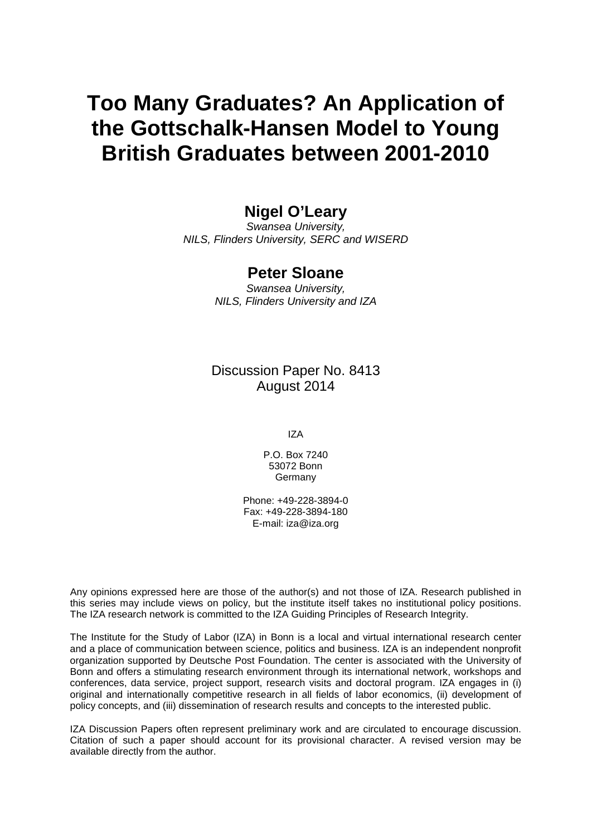# **Too Many Graduates? An Application of the Gottschalk-Hansen Model to Young British Graduates between 2001-2010**

# **Nigel O'Leary**

*Swansea University, NILS, Flinders University, SERC and WISERD*

## **Peter Sloane**

*Swansea University, NILS, Flinders University and IZA*

Discussion Paper No. 8413 August 2014

IZA

P.O. Box 7240 53072 Bonn **Germany** 

Phone: +49-228-3894-0 Fax: +49-228-3894-180 E-mail: [iza@iza.org](mailto:iza@iza.org)

Any opinions expressed here are those of the author(s) and not those of IZA. Research published in this series may include views on policy, but the institute itself takes no institutional policy positions. The IZA research network is committed to the IZA Guiding Principles of Research Integrity.

The Institute for the Study of Labor (IZA) in Bonn is a local and virtual international research center and a place of communication between science, politics and business. IZA is an independent nonprofit organization supported by Deutsche Post Foundation. The center is associated with the University of Bonn and offers a stimulating research environment through its international network, workshops and conferences, data service, project support, research visits and doctoral program. IZA engages in (i) original and internationally competitive research in all fields of labor economics, (ii) development of policy concepts, and (iii) dissemination of research results and concepts to the interested public.

IZA Discussion Papers often represent preliminary work and are circulated to encourage discussion. Citation of such a paper should account for its provisional character. A revised version may be available directly from the author.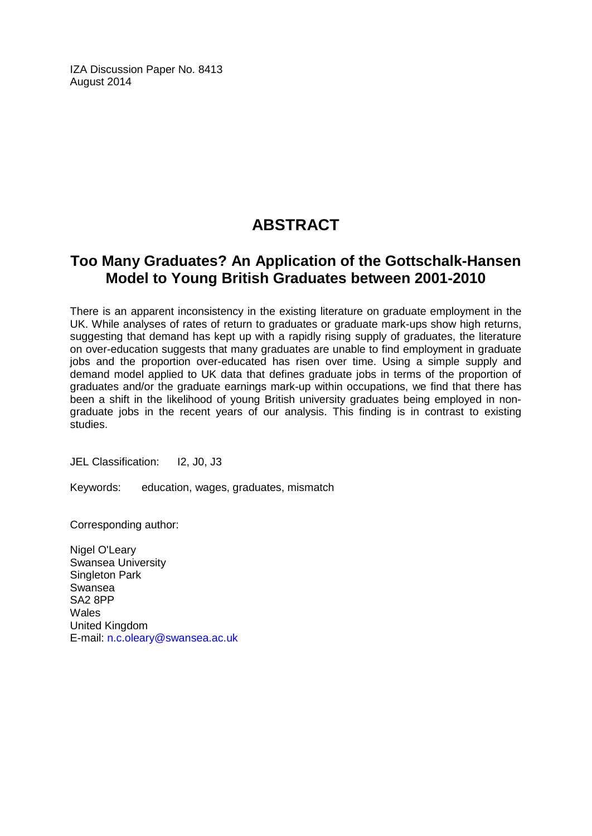IZA Discussion Paper No. 8413 August 2014

# **ABSTRACT**

# **Too Many Graduates? An Application of the Gottschalk-Hansen Model to Young British Graduates between 2001-2010**

There is an apparent inconsistency in the existing literature on graduate employment in the UK. While analyses of rates of return to graduates or graduate mark-ups show high returns, suggesting that demand has kept up with a rapidly rising supply of graduates, the literature on over-education suggests that many graduates are unable to find employment in graduate jobs and the proportion over-educated has risen over time. Using a simple supply and demand model applied to UK data that defines graduate jobs in terms of the proportion of graduates and/or the graduate earnings mark-up within occupations, we find that there has been a shift in the likelihood of young British university graduates being employed in nongraduate jobs in the recent years of our analysis. This finding is in contrast to existing studies.

JEL Classification: I2, J0, J3

Keywords: education, wages, graduates, mismatch

Corresponding author:

Nigel O'Leary Swansea University Singleton Park Swansea SA2 8PP **Wales** United Kingdom E-mail: [n.c.oleary@swansea.ac.uk](mailto:n.c.oleary@swansea.ac.uk)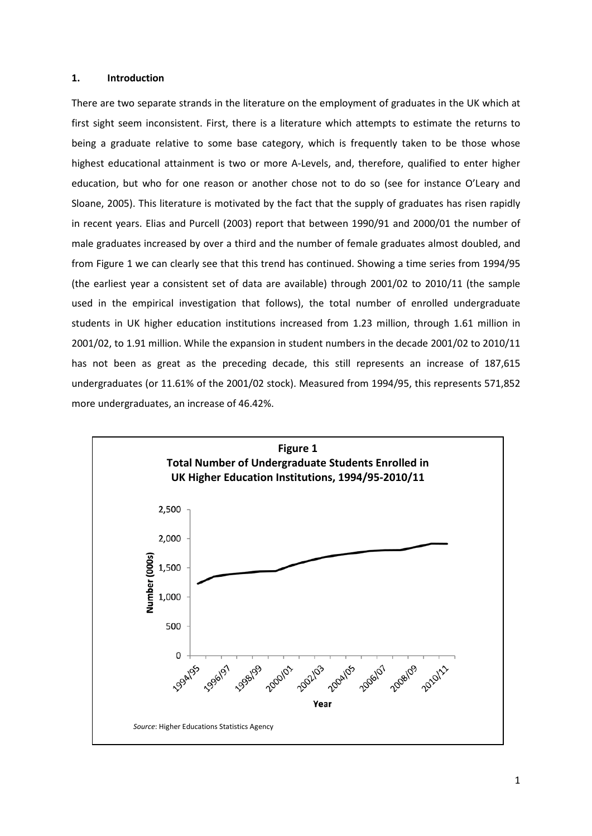#### **1. Introduction**

There are two separate strands in the literature on the employment of graduates in the UK which at first sight seem inconsistent. First, there is a literature which attempts to estimate the returns to being a graduate relative to some base category, which is frequently taken to be those whose highest educational attainment is two or more A-Levels, and, therefore, qualified to enter higher education, but who for one reason or another chose not to do so (see for instance O'Leary and Sloane, 2005). This literature is motivated by the fact that the supply of graduates has risen rapidly in recent years. Elias and Purcell (2003) report that between 1990/91 and 2000/01 the number of male graduates increased by over a third and the number of female graduates almost doubled, and from Figure 1 we can clearly see that this trend has continued. Showing a time series from 1994/95 (the earliest year a consistent set of data are available) through 2001/02 to 2010/11 (the sample used in the empirical investigation that follows), the total number of enrolled undergraduate students in UK higher education institutions increased from 1.23 million, through 1.61 million in 2001/02, to 1.91 million. While the expansion in student numbers in the decade 2001/02 to 2010/11 has not been as great as the preceding decade, this still represents an increase of 187,615 undergraduates (or 11.61% of the 2001/02 stock). Measured from 1994/95, this represents 571,852 more undergraduates, an increase of 46.42%.

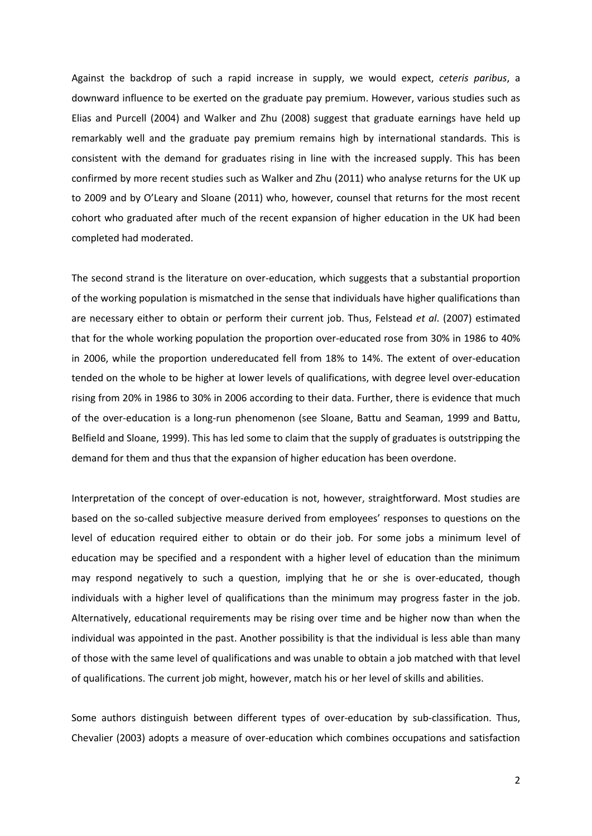Against the backdrop of such a rapid increase in supply, we would expect, *ceteris paribus*, a downward influence to be exerted on the graduate pay premium. However, various studies such as Elias and Purcell (2004) and Walker and Zhu (2008) suggest that graduate earnings have held up remarkably well and the graduate pay premium remains high by international standards. This is consistent with the demand for graduates rising in line with the increased supply. This has been confirmed by more recent studies such as Walker and Zhu (2011) who analyse returns for the UK up to 2009 and by O'Leary and Sloane (2011) who, however, counsel that returns for the most recent cohort who graduated after much of the recent expansion of higher education in the UK had been completed had moderated.

The second strand is the literature on over-education, which suggests that a substantial proportion of the working population is mismatched in the sense that individuals have higher qualifications than are necessary either to obtain or perform their current job. Thus, Felstead *et al*. (2007) estimated that for the whole working population the proportion over-educated rose from 30% in 1986 to 40% in 2006, while the proportion undereducated fell from 18% to 14%. The extent of over-education tended on the whole to be higher at lower levels of qualifications, with degree level over-education rising from 20% in 1986 to 30% in 2006 according to their data. Further, there is evidence that much of the over-education is a long-run phenomenon (see Sloane, Battu and Seaman, 1999 and Battu, Belfield and Sloane, 1999). This has led some to claim that the supply of graduates is outstripping the demand for them and thus that the expansion of higher education has been overdone.

Interpretation of the concept of over-education is not, however, straightforward. Most studies are based on the so-called subjective measure derived from employees' responses to questions on the level of education required either to obtain or do their job. For some jobs a minimum level of education may be specified and a respondent with a higher level of education than the minimum may respond negatively to such a question, implying that he or she is over-educated, though individuals with a higher level of qualifications than the minimum may progress faster in the job. Alternatively, educational requirements may be rising over time and be higher now than when the individual was appointed in the past. Another possibility is that the individual is less able than many of those with the same level of qualifications and was unable to obtain a job matched with that level of qualifications. The current job might, however, match his or her level of skills and abilities.

Some authors distinguish between different types of over-education by sub-classification. Thus, Chevalier (2003) adopts a measure of over-education which combines occupations and satisfaction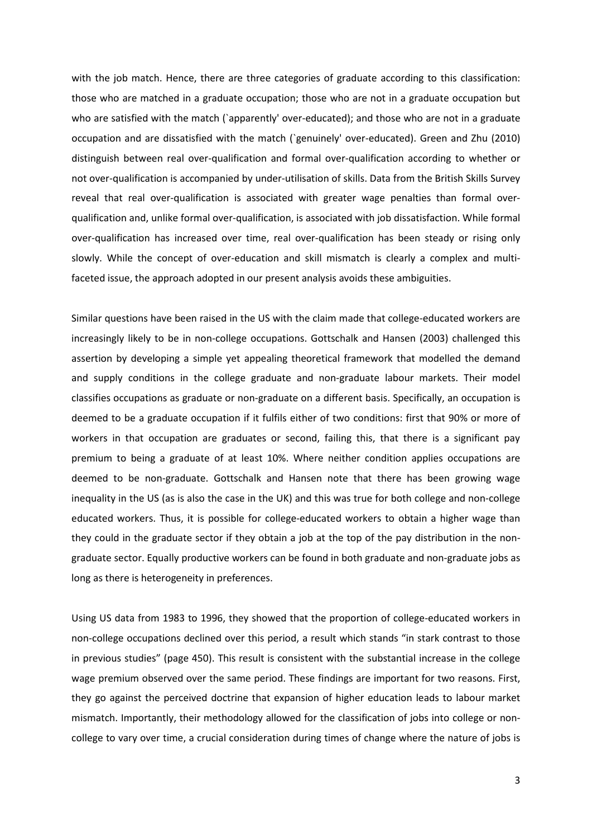with the job match. Hence, there are three categories of graduate according to this classification: those who are matched in a graduate occupation; those who are not in a graduate occupation but who are satisfied with the match (`apparently' over-educated); and those who are not in a graduate occupation and are dissatisfied with the match (`genuinely' over-educated). Green and Zhu (2010) distinguish between real over-qualification and formal over-qualification according to whether or not over-qualification is accompanied by under-utilisation of skills. Data from the British Skills Survey reveal that real over-qualification is associated with greater wage penalties than formal overqualification and, unlike formal over-qualification, is associated with job dissatisfaction. While formal over-qualification has increased over time, real over-qualification has been steady or rising only slowly. While the concept of over-education and skill mismatch is clearly a complex and multifaceted issue, the approach adopted in our present analysis avoids these ambiguities.

Similar questions have been raised in the US with the claim made that college-educated workers are increasingly likely to be in non-college occupations. Gottschalk and Hansen (2003) challenged this assertion by developing a simple yet appealing theoretical framework that modelled the demand and supply conditions in the college graduate and non-graduate labour markets. Their model classifies occupations as graduate or non-graduate on a different basis. Specifically, an occupation is deemed to be a graduate occupation if it fulfils either of two conditions: first that 90% or more of workers in that occupation are graduates or second, failing this, that there is a significant pay premium to being a graduate of at least 10%. Where neither condition applies occupations are deemed to be non-graduate. Gottschalk and Hansen note that there has been growing wage inequality in the US (as is also the case in the UK) and this was true for both college and non-college educated workers. Thus, it is possible for college-educated workers to obtain a higher wage than they could in the graduate sector if they obtain a job at the top of the pay distribution in the nongraduate sector. Equally productive workers can be found in both graduate and non-graduate jobs as long as there is heterogeneity in preferences.

Using US data from 1983 to 1996, they showed that the proportion of college-educated workers in non-college occupations declined over this period, a result which stands "in stark contrast to those in previous studies" (page 450). This result is consistent with the substantial increase in the college wage premium observed over the same period. These findings are important for two reasons. First, they go against the perceived doctrine that expansion of higher education leads to labour market mismatch. Importantly, their methodology allowed for the classification of jobs into college or noncollege to vary over time, a crucial consideration during times of change where the nature of jobs is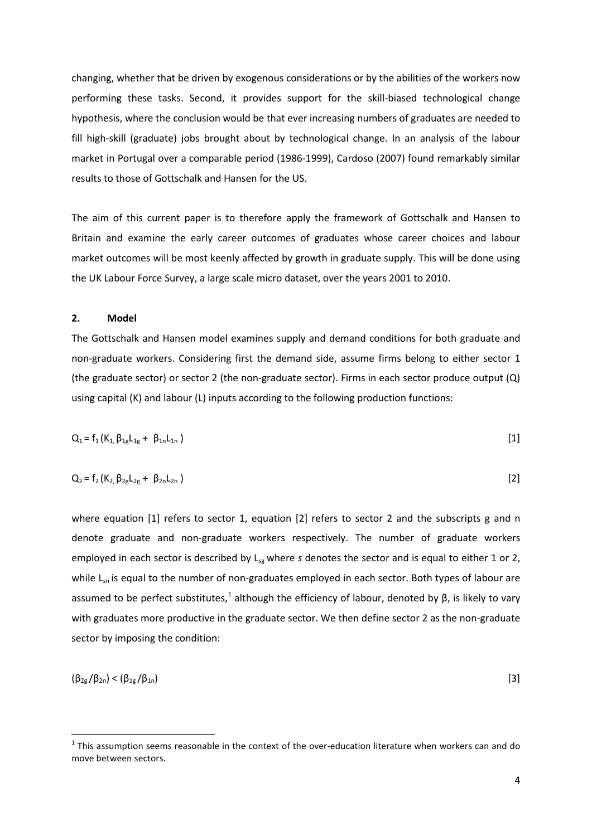changing, whether that be driven by exogenous considerations or by the abilities of the workers now performing these tasks. Second, it provides support for the skill-biased technological change hypothesis, where the conclusion would be that ever increasing numbers of graduates are needed to fill high-skill (graduate) jobs brought about by technological change. In an analysis of the labour market in Portugal over a comparable period (1986-1999), Cardoso (2007) found remarkably similar results to those of Gottschalk and Hansen for the US.

The aim of this current paper is to therefore apply the framework of Gottschalk and Hansen to Britain and examine the early career outcomes of graduates whose career choices and labour market outcomes will be most keenly affected by growth in graduate supply. This will be done using the UK Labour Force Survey, a large scale micro dataset, over the years 2001 to 2010.

#### **2. Model**

The Gottschalk and Hansen model examines supply and demand conditions for both graduate and non-graduate workers. Considering first the demand side, assume firms belong to either sector 1 (the graduate sector) or sector 2 (the non-graduate sector). Firms in each sector produce output (Q) using capital (K) and labour (L) inputs according to the following production functions:

$$
Q_1 = f_1(K_1, \beta_{1g}L_{1g} + \beta_{1n}L_{1n})
$$
\n[1]

$$
Q_2 = f_2(K_2, \beta_{2g}L_{2g} + \beta_{2n}L_{2n})
$$
 [2]

where equation [1] refers to sector 1, equation [2] refers to sector 2 and the subscripts g and n denote graduate and non-graduate workers respectively. The number of graduate workers employed in each sector is described by L*s*g where *s* denotes the sector and is equal to either 1 or 2, while L<sub>sn</sub> is equal to the number of non-graduates employed in each sector. Both types of labour are assumed to be perfect substitutes,<sup>1</sup> although the efficiency of labour, denoted by β, is likely to vary with graduates more productive in the graduate sector. We then define sector 2 as the non-graduate sector by imposing the condition:

<span id="page-6-0"></span>
$$
(\beta_{2g}/\beta_{2n}) < (\beta_{1g}/\beta_{1n})
$$
 [3]

 $1$  This assumption seems reasonable in the context of the over-education literature when workers can and do move between sectors.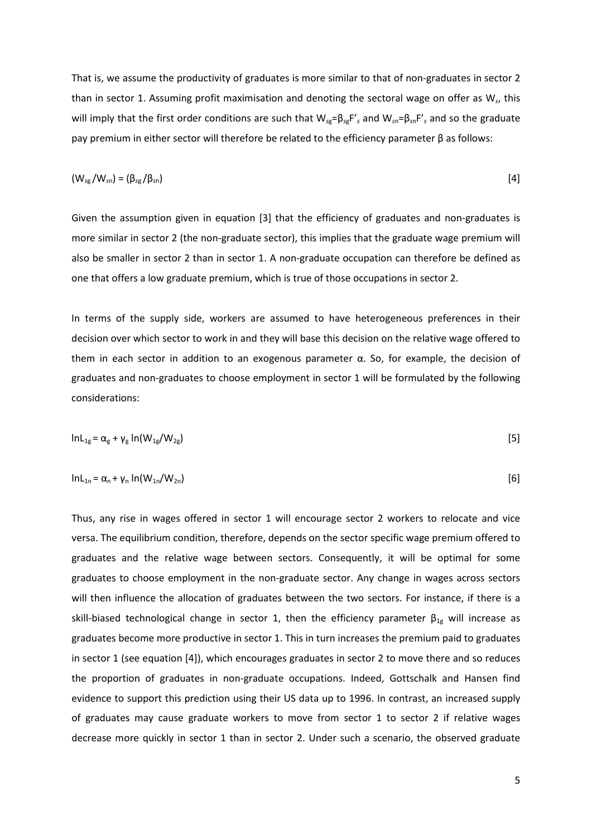That is, we assume the productivity of graduates is more similar to that of non-graduates in sector 2 than in sector 1. Assuming profit maximisation and denoting the sectoral wage on offer as W*s*, this will imply that the first order conditions are such that W*<sup>s</sup>*g=β*s*gF'*<sup>s</sup>* and W*<sup>s</sup>*n=β*s*nF'*<sup>s</sup>* and so the graduate pay premium in either sector will therefore be related to the efficiency parameter β as follows:

$$
(W_{sg}/W_{sn}) = (\beta_{sg}/\beta_{sn})
$$

Given the assumption given in equation [3] that the efficiency of graduates and non-graduates is more similar in sector 2 (the non-graduate sector), this implies that the graduate wage premium will also be smaller in sector 2 than in sector 1. A non-graduate occupation can therefore be defined as one that offers a low graduate premium, which is true of those occupations in sector 2.

In terms of the supply side, workers are assumed to have heterogeneous preferences in their decision over which sector to work in and they will base this decision on the relative wage offered to them in each sector in addition to an exogenous parameter  $\alpha$ . So, for example, the decision of graduates and non-graduates to choose employment in sector 1 will be formulated by the following considerations:

$$
ln L_{1g} = \alpha_g + \gamma_g ln(W_{1g}/W_{2g})
$$
 [5]

$$
lnL_{1n} = \alpha_n + \gamma_n ln(W_{1n}/W_{2n})
$$

Thus, any rise in wages offered in sector 1 will encourage sector 2 workers to relocate and vice versa. The equilibrium condition, therefore, depends on the sector specific wage premium offered to graduates and the relative wage between sectors. Consequently, it will be optimal for some graduates to choose employment in the non-graduate sector. Any change in wages across sectors will then influence the allocation of graduates between the two sectors. For instance, if there is a skill-biased technological change in sector 1, then the efficiency parameter  $\beta_{1g}$  will increase as graduates become more productive in sector 1. This in turn increases the premium paid to graduates in sector 1 (see equation [4]), which encourages graduates in sector 2 to move there and so reduces the proportion of graduates in non-graduate occupations. Indeed, Gottschalk and Hansen find evidence to support this prediction using their US data up to 1996. In contrast, an increased supply of graduates may cause graduate workers to move from sector 1 to sector 2 if relative wages decrease more quickly in sector 1 than in sector 2. Under such a scenario, the observed graduate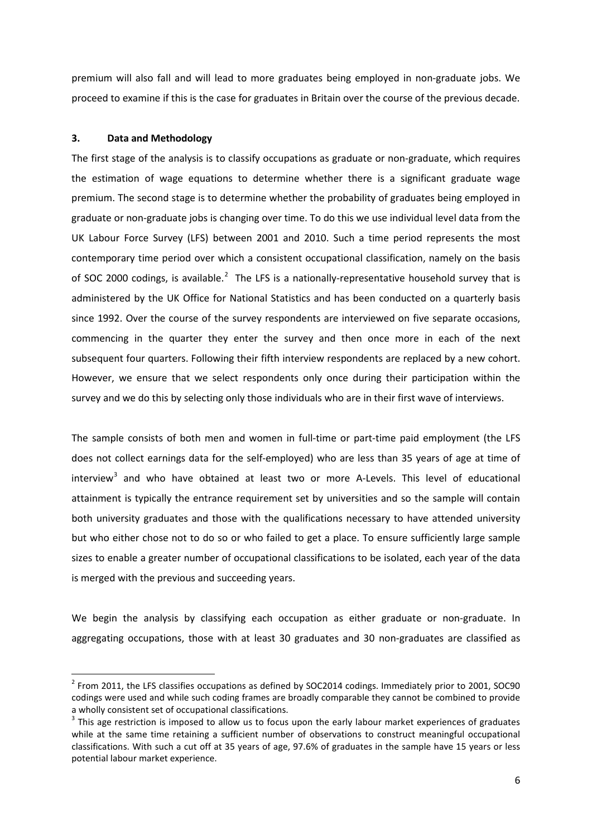premium will also fall and will lead to more graduates being employed in non-graduate jobs. We proceed to examine if this is the case for graduates in Britain over the course of the previous decade.

#### **3. Data and Methodology**

The first stage of the analysis is to classify occupations as graduate or non-graduate, which requires the estimation of wage equations to determine whether there is a significant graduate wage premium. The second stage is to determine whether the probability of graduates being employed in graduate or non-graduate jobs is changing over time. To do this we use individual level data from the UK Labour Force Survey (LFS) between 2001 and 2010. Such a time period represents the most contemporary time period over which a consistent occupational classification, namely on the basis of SOC [2](#page-6-0)000 codings, is available.<sup>2</sup> The LFS is a nationally-representative household survey that is administered by the UK Office for National Statistics and has been conducted on a quarterly basis since 1992. Over the course of the survey respondents are interviewed on five separate occasions, commencing in the quarter they enter the survey and then once more in each of the next subsequent four quarters. Following their fifth interview respondents are replaced by a new cohort. However, we ensure that we select respondents only once during their participation within the survey and we do this by selecting only those individuals who are in their first wave of interviews.

The sample consists of both men and women in full-time or part-time paid employment (the LFS does not collect earnings data for the self-employed) who are less than 35 years of age at time of interview<sup>[3](#page-8-0)</sup> and who have obtained at least two or more A-Levels. This level of educational attainment is typically the entrance requirement set by universities and so the sample will contain both university graduates and those with the qualifications necessary to have attended university but who either chose not to do so or who failed to get a place. To ensure sufficiently large sample sizes to enable a greater number of occupational classifications to be isolated, each year of the data is merged with the previous and succeeding years.

We begin the analysis by classifying each occupation as either graduate or non-graduate. In aggregating occupations, those with at least 30 graduates and 30 non-graduates are classified as

<span id="page-8-1"></span><sup>&</sup>lt;sup>2</sup> From 2011, the LFS classifies occupations as defined by SOC2014 codings. Immediately prior to 2001, SOC90 codings were used and while such coding frames are broadly comparable they cannot be combined to provide a wholly consistent set of occupational classifications.

<span id="page-8-0"></span> $3$  This age restriction is imposed to allow us to focus upon the early labour market experiences of graduates while at the same time retaining a sufficient number of observations to construct meaningful occupational classifications. With such a cut off at 35 years of age, 97.6% of graduates in the sample have 15 years or less potential labour market experience.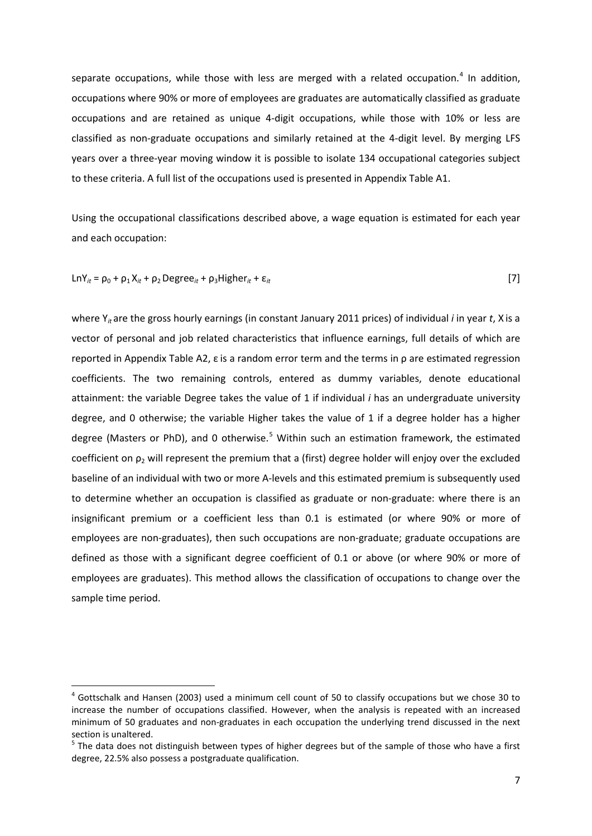separate occupations, while those with less are merged with a related occupation.<sup>[4](#page-8-1)</sup> In addition. occupations where 90% or more of employees are graduates are automatically classified as graduate occupations and are retained as unique 4-digit occupations, while those with 10% or less are classified as non-graduate occupations and similarly retained at the 4-digit level. By merging LFS years over a three-year moving window it is possible to isolate 134 occupational categories subject to these criteria. A full list of the occupations used is presented in Appendix Table A1.

Using the occupational classifications described above, a wage equation is estimated for each year and each occupation:

$$
LnY_{it} = \rho_0 + \rho_1 X_{it} + \rho_2 Degree_{it} + \rho_3 Higher_{it} + \varepsilon_{it}
$$
 [7]

where Y<sub>it</sub> are the gross hourly earnings (in constant January 2011 prices) of individual *i* in year *t*, X is a vector of personal and job related characteristics that influence earnings, full details of which are reported in Appendix Table A2, ε is a random error term and the terms in ρ are estimated regression coefficients. The two remaining controls, entered as dummy variables, denote educational attainment: the variable Degree takes the value of 1 if individual *i* has an undergraduate university degree, and 0 otherwise; the variable Higher takes the value of 1 if a degree holder has a higher degree (Masters or PhD), and 0 otherwise.<sup>[5](#page-9-0)</sup> Within such an estimation framework, the estimated coefficient on  $\rho_2$  will represent the premium that a (first) degree holder will enjoy over the excluded baseline of an individual with two or more A-levels and this estimated premium is subsequently used to determine whether an occupation is classified as graduate or non-graduate: where there is an insignificant premium or a coefficient less than 0.1 is estimated (or where 90% or more of employees are non-graduates), then such occupations are non-graduate; graduate occupations are defined as those with a significant degree coefficient of 0.1 or above (or where 90% or more of employees are graduates). This method allows the classification of occupations to change over the sample time period.

<span id="page-9-1"></span> $4$  Gottschalk and Hansen (2003) used a minimum cell count of 50 to classify occupations but we chose 30 to increase the number of occupations classified. However, when the analysis is repeated with an increased minimum of 50 graduates and non-graduates in each occupation the underlying trend discussed in the next section is unaltered.

<span id="page-9-0"></span> $5$  The data does not distinguish between types of higher degrees but of the sample of those who have a first degree, 22.5% also possess a postgraduate qualification.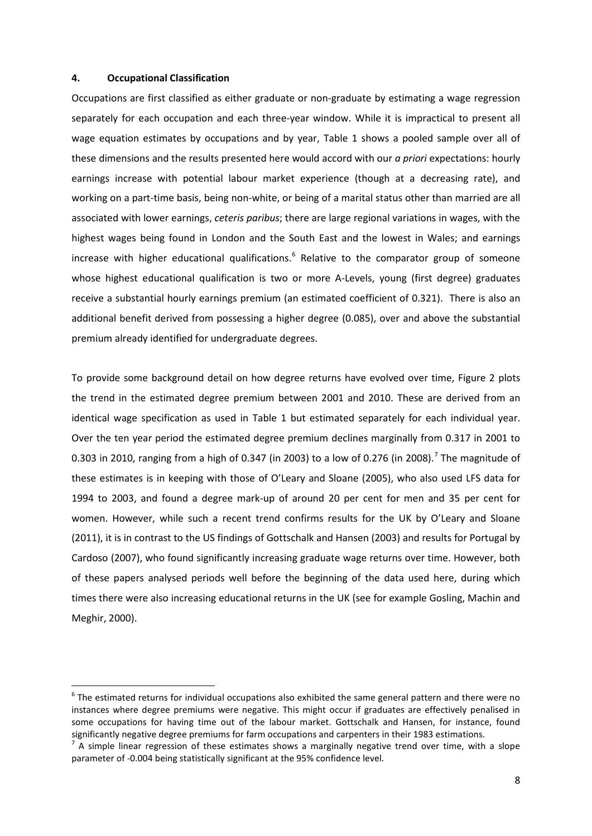#### **4. Occupational Classification**

Occupations are first classified as either graduate or non-graduate by estimating a wage regression separately for each occupation and each three-year window. While it is impractical to present all wage equation estimates by occupations and by year, Table 1 shows a pooled sample over all of these dimensions and the results presented here would accord with our *a priori* expectations: hourly earnings increase with potential labour market experience (though at a decreasing rate), and working on a part-time basis, being non-white, or being of a marital status other than married are all associated with lower earnings, *ceteris paribus*; there are large regional variations in wages, with the highest wages being found in London and the South East and the lowest in Wales; and earnings increase with higher educational qualifications.<sup>[6](#page-9-1)</sup> Relative to the comparator group of someone whose highest educational qualification is two or more A-Levels, young (first degree) graduates receive a substantial hourly earnings premium (an estimated coefficient of 0.321). There is also an additional benefit derived from possessing a higher degree (0.085), over and above the substantial premium already identified for undergraduate degrees.

To provide some background detail on how degree returns have evolved over time, Figure 2 plots the trend in the estimated degree premium between 2001 and 2010. These are derived from an identical wage specification as used in Table 1 but estimated separately for each individual year. Over the ten year period the estimated degree premium declines marginally from 0.317 in 2001 to 0.303 in 2010, ranging from a high of 0.34[7](#page-10-0) (in 2003) to a low of 0.276 (in 2008).<sup>7</sup> The magnitude of these estimates is in keeping with those of O'Leary and Sloane (2005), who also used LFS data for 1994 to 2003, and found a degree mark-up of around 20 per cent for men and 35 per cent for women. However, while such a recent trend confirms results for the UK by O'Leary and Sloane (2011), it is in contrast to the US findings of Gottschalk and Hansen (2003) and results for Portugal by Cardoso (2007), who found significantly increasing graduate wage returns over time. However, both of these papers analysed periods well before the beginning of the data used here, during which times there were also increasing educational returns in the UK (see for example Gosling, Machin and Meghir, 2000).

<span id="page-10-1"></span><sup>&</sup>lt;sup>6</sup> The estimated returns for individual occupations also exhibited the same general pattern and there were no instances where degree premiums were negative. This might occur if graduates are effectively penalised in some occupations for having time out of the labour market. Gottschalk and Hansen, for instance, found significantly negative degree premiums for farm occupations and carpenters in their 1983 estimations.

<span id="page-10-0"></span><sup>7</sup> A simple linear regression of these estimates shows a marginally negative trend over time, with a slope parameter of -0.004 being statistically significant at the 95% confidence level.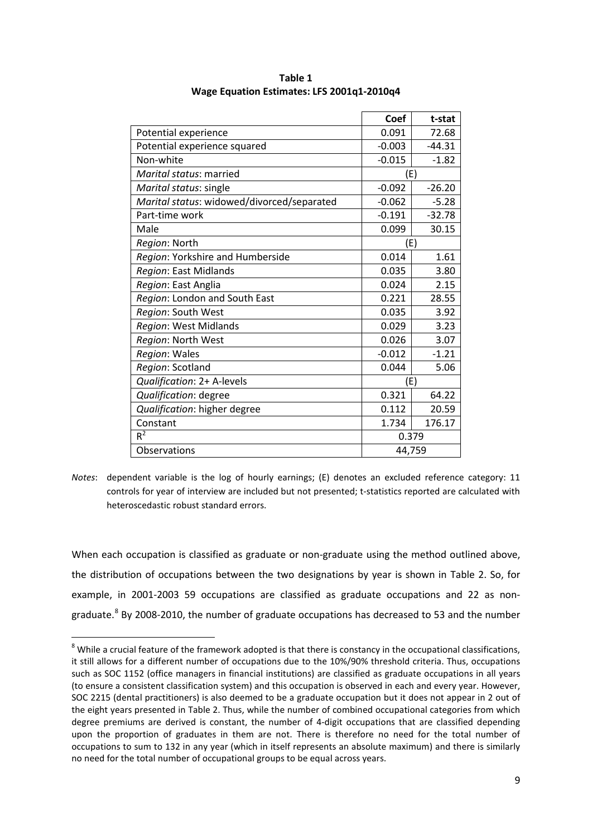|                                            | Coef     | t-stat   |
|--------------------------------------------|----------|----------|
| Potential experience                       | 0.091    | 72.68    |
| Potential experience squared               | $-0.003$ | $-44.31$ |
| Non-white                                  | $-0.015$ | $-1.82$  |
| Marital status: married                    | (E)      |          |
| Marital status: single                     | $-0.092$ | $-26.20$ |
| Marital status: widowed/divorced/separated | $-0.062$ | $-5.28$  |
| Part-time work                             | $-0.191$ | $-32.78$ |
| Male                                       | 0.099    | 30.15    |
| Region: North                              | (E)      |          |
| Region: Yorkshire and Humberside           | 0.014    | 1.61     |
| Region: East Midlands                      | 0.035    | 3.80     |
| Region: East Anglia                        | 0.024    | 2.15     |
| Region: London and South East              | 0.221    | 28.55    |
| Region: South West                         | 0.035    | 3.92     |
| Region: West Midlands                      | 0.029    | 3.23     |
| Region: North West                         | 0.026    | 3.07     |
| Region: Wales                              | $-0.012$ | $-1.21$  |
| Region: Scotland                           | 0.044    | 5.06     |
| Qualification: 2+ A-levels                 | (E)      |          |
| Qualification: degree                      | 0.321    | 64.22    |
| Qualification: higher degree               | 0.112    | 20.59    |
| Constant                                   | 1.734    | 176.17   |
| $R^2$                                      | 0.379    |          |
| Observations                               | 44,759   |          |

**Table 1 Wage Equation Estimates: LFS 2001q1-2010q4**

When each occupation is classified as graduate or non-graduate using the method outlined above, the distribution of occupations between the two designations by year is shown in Table 2. So, for example, in 2001-2003 59 occupations are classified as graduate occupations and 22 as non-graduate.<sup>[8](#page-10-1)</sup> By 2008-2010, the number of graduate occupations has decreased to 53 and the number

*Notes*: dependent variable is the log of hourly earnings; (E) denotes an excluded reference category: 11 controls for year of interview are included but not presented; t-statistics reported are calculated with heteroscedastic robust standard errors.

<span id="page-11-0"></span> $8$  While a crucial feature of the framework adopted is that there is constancy in the occupational classifications, it still allows for a different number of occupations due to the 10%/90% threshold criteria. Thus, occupations such as SOC 1152 (office managers in financial institutions) are classified as graduate occupations in all years (to ensure a consistent classification system) and this occupation is observed in each and every year. However, SOC 2215 (dental practitioners) is also deemed to be a graduate occupation but it does not appear in 2 out of the eight years presented in Table 2. Thus, while the number of combined occupational categories from which degree premiums are derived is constant, the number of 4-digit occupations that are classified depending upon the proportion of graduates in them are not. There is therefore no need for the total number of occupations to sum to 132 in any year (which in itself represents an absolute maximum) and there is similarly no need for the total number of occupational groups to be equal across years.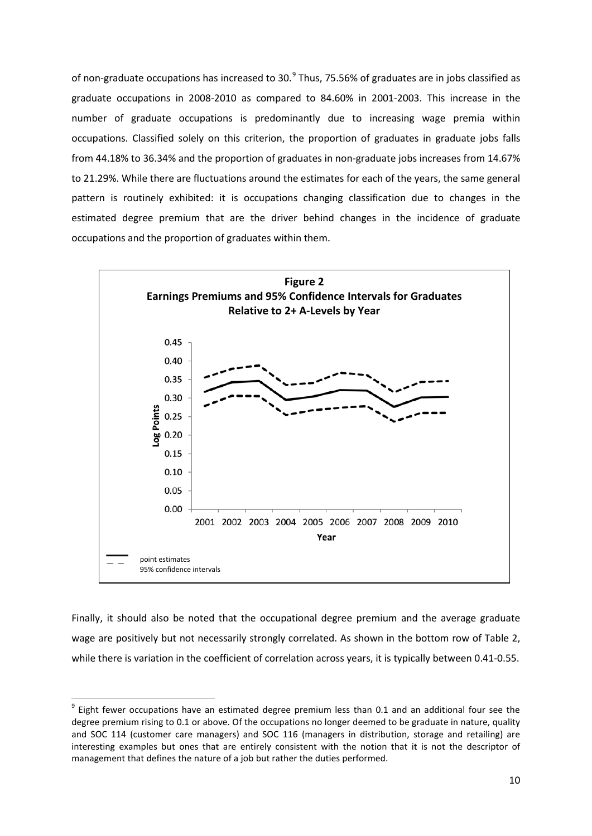of non-graduate occupations has increased to 30.<sup>[9](#page-11-0)</sup> Thus, 75.56% of graduates are in jobs classified as graduate occupations in 2008-2010 as compared to 84.60% in 2001-2003. This increase in the number of graduate occupations is predominantly due to increasing wage premia within occupations. Classified solely on this criterion, the proportion of graduates in graduate jobs falls from 44.18% to 36.34% and the proportion of graduates in non-graduate jobs increases from 14.67% to 21.29%. While there are fluctuations around the estimates for each of the years, the same general pattern is routinely exhibited: it is occupations changing classification due to changes in the estimated degree premium that are the driver behind changes in the incidence of graduate occupations and the proportion of graduates within them.



Finally, it should also be noted that the occupational degree premium and the average graduate wage are positively but not necessarily strongly correlated. As shown in the bottom row of Table 2, while there is variation in the coefficient of correlation across years, it is typically between 0.41-0.55.

<span id="page-12-0"></span> $9$  Eight fewer occupations have an estimated degree premium less than 0.1 and an additional four see the degree premium rising to 0.1 or above. Of the occupations no longer deemed to be graduate in nature, quality and SOC 114 (customer care managers) and SOC 116 (managers in distribution, storage and retailing) are interesting examples but ones that are entirely consistent with the notion that it is not the descriptor of management that defines the nature of a job but rather the duties performed.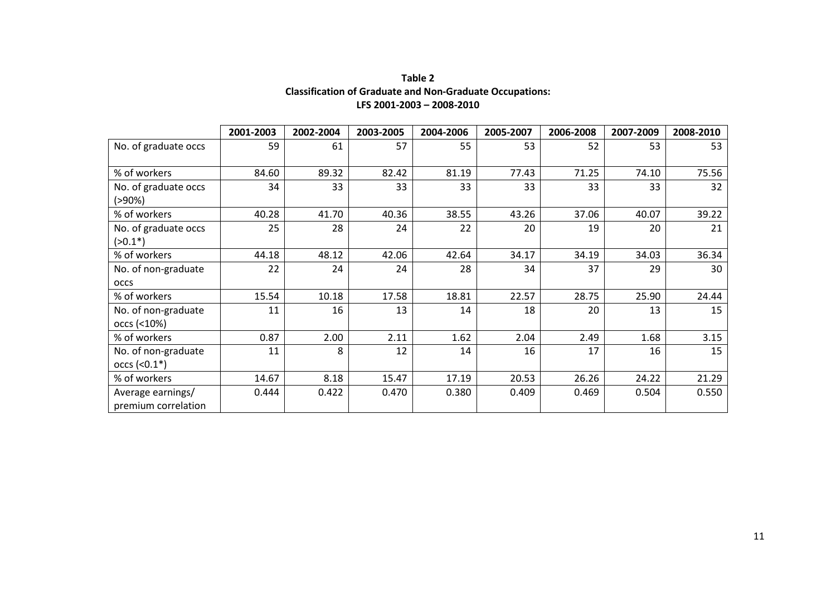### **Table 2 Classification of Graduate and Non-Graduate Occupations: LFS 2001-2003 – 2008-2010**

|                                          | 2001-2003 | 2002-2004 | 2003-2005 | 2004-2006 | 2005-2007 | 2006-2008 | 2007-2009 | 2008-2010 |
|------------------------------------------|-----------|-----------|-----------|-----------|-----------|-----------|-----------|-----------|
| No. of graduate occs                     | 59        | 61        | 57        | 55        | 53        | 52        | 53        | 53        |
| % of workers                             | 84.60     | 89.32     | 82.42     | 81.19     | 77.43     | 71.25     | 74.10     | 75.56     |
| No. of graduate occs<br>$( > 90\%)$      | 34        | 33        | 33        | 33        | 33        | 33        | 33        | 32        |
| % of workers                             | 40.28     | 41.70     | 40.36     | 38.55     | 43.26     | 37.06     | 40.07     | 39.22     |
| No. of graduate occs<br>$(>0.1*)$        | 25        | 28        | 24        | 22        | 20        | 19        | 20        | 21        |
| % of workers                             | 44.18     | 48.12     | 42.06     | 42.64     | 34.17     | 34.19     | 34.03     | 36.34     |
| No. of non-graduate<br><b>OCCS</b>       | 22        | 24        | 24        | 28        | 34        | 37        | 29        | 30        |
| % of workers                             | 15.54     | 10.18     | 17.58     | 18.81     | 22.57     | 28.75     | 25.90     | 24.44     |
| No. of non-graduate<br>occs (<10%)       | 11        | 16        | 13        | 14        | 18        | 20        | 13        | 15        |
| % of workers                             | 0.87      | 2.00      | 2.11      | 1.62      | 2.04      | 2.49      | 1.68      | 3.15      |
| No. of non-graduate<br>$occs$ (<0.1*)    | 11        | 8         | 12        | 14        | 16        | 17        | 16        | 15        |
| % of workers                             | 14.67     | 8.18      | 15.47     | 17.19     | 20.53     | 26.26     | 24.22     | 21.29     |
| Average earnings/<br>premium correlation | 0.444     | 0.422     | 0.470     | 0.380     | 0.409     | 0.469     | 0.504     | 0.550     |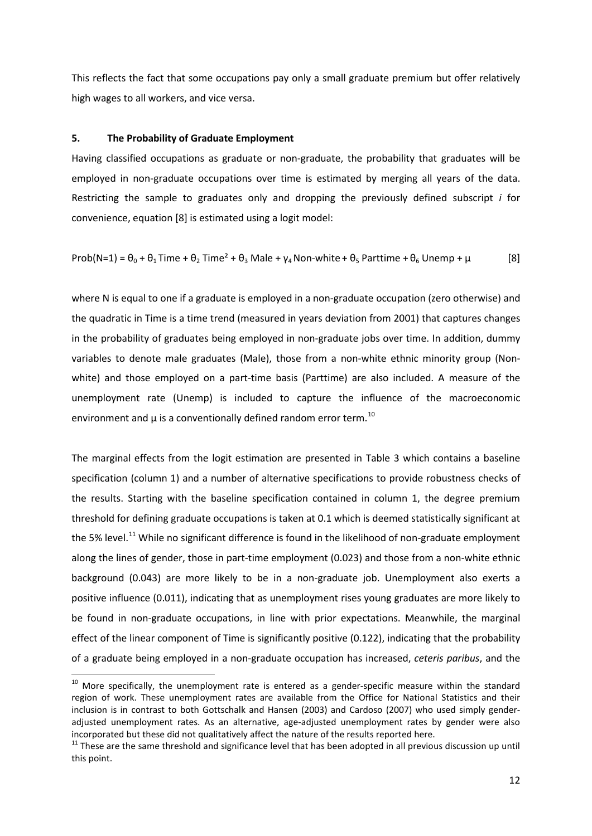This reflects the fact that some occupations pay only a small graduate premium but offer relatively high wages to all workers, and vice versa.

#### **5. The Probability of Graduate Employment**

Having classified occupations as graduate or non-graduate, the probability that graduates will be employed in non-graduate occupations over time is estimated by merging all years of the data. Restricting the sample to graduates only and dropping the previously defined subscript *i* for convenience, equation [8] is estimated using a logit model:

$$
Prob(N=1) = \theta_0 + \theta_1 Time + \theta_2 Time^2 + \theta_3 Male + \gamma_4 Non-white + \theta_5 Parttime + \theta_6 Unemp + \mu
$$
 [8]

where N is equal to one if a graduate is employed in a non-graduate occupation (zero otherwise) and the quadratic in Time is a time trend (measured in years deviation from 2001) that captures changes in the probability of graduates being employed in non-graduate jobs over time. In addition, dummy variables to denote male graduates (Male), those from a non-white ethnic minority group (Nonwhite) and those employed on a part-time basis (Parttime) are also included. A measure of the unemployment rate (Unemp) is included to capture the influence of the macroeconomic environment and  $\mu$  is a conventionally defined random error term.<sup>[10](#page-12-0)</sup>

The marginal effects from the logit estimation are presented in Table 3 which contains a baseline specification (column 1) and a number of alternative specifications to provide robustness checks of the results. Starting with the baseline specification contained in column 1, the degree premium threshold for defining graduate occupations is taken at 0.1 which is deemed statistically significant at the 5% level.<sup>[11](#page-14-0)</sup> While no significant difference is found in the likelihood of non-graduate employment along the lines of gender, those in part-time employment (0.023) and those from a non-white ethnic background (0.043) are more likely to be in a non-graduate job. Unemployment also exerts a positive influence (0.011), indicating that as unemployment rises young graduates are more likely to be found in non-graduate occupations, in line with prior expectations. Meanwhile, the marginal effect of the linear component of Time is significantly positive (0.122), indicating that the probability of a graduate being employed in a non-graduate occupation has increased, *ceteris paribus*, and the

 $10$  More specifically, the unemployment rate is entered as a gender-specific measure within the standard region of work. These unemployment rates are available from the Office for National Statistics and their inclusion is in contrast to both Gottschalk and Hansen (2003) and Cardoso (2007) who used simply genderadjusted unemployment rates. As an alternative, age-adjusted unemployment rates by gender were also incorporated but these did not qualitatively affect the nature of the results reported here.<br><sup>11</sup> These are the same threshold and significance level that has been adopted in all previous discussion up until

<span id="page-14-1"></span><span id="page-14-0"></span>this point.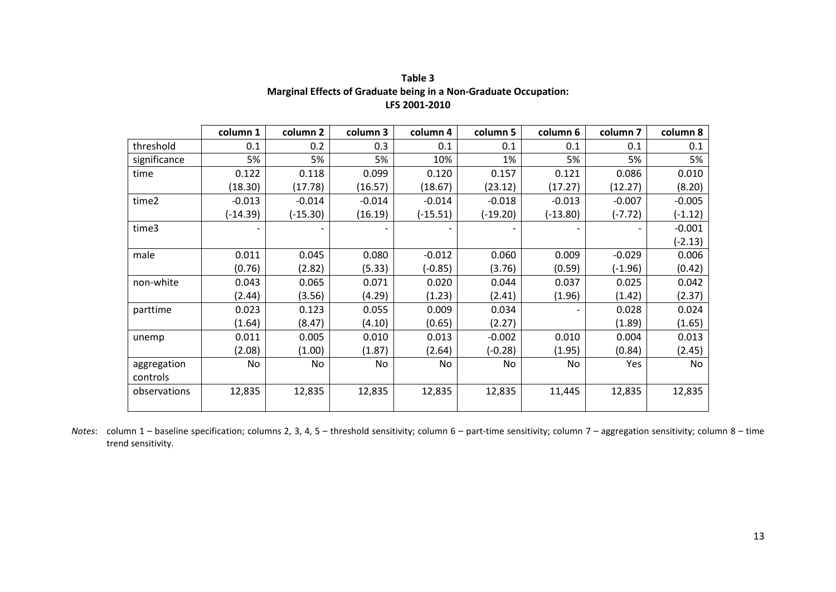|              | column 1   | column <sub>2</sub> | column 3 | column 4   | column 5   | column 6 | column <sub>7</sub> | column 8  |
|--------------|------------|---------------------|----------|------------|------------|----------|---------------------|-----------|
| threshold    | 0.1        | 0.2                 | 0.3      | 0.1        | 0.1        | 0.1      | 0.1                 | 0.1       |
| significance | 5%         | 5%                  | 5%       | 10%        | 1%         | 5%       | 5%                  | 5%        |
| time         | 0.122      | 0.118               | 0.099    | 0.120      | 0.157      | 0.121    | 0.086               | 0.010     |
|              | (18.30)    | (17.78)             | (16.57)  | (18.67)    | (23.12)    | (17.27)  | (12.27)             | (8.20)    |
| time2        | $-0.013$   | $-0.014$            | $-0.014$ | $-0.014$   | $-0.018$   | $-0.013$ | $-0.007$            | $-0.005$  |
|              | $(-14.39)$ | $(-15.30)$          | (16.19)  | $(-15.51)$ | $(-19.20)$ | (-13.80) | (-7.72)             | (-1.12)   |
| time3        |            |                     |          |            |            |          |                     | $-0.001$  |
|              |            |                     |          |            |            |          |                     | $(-2.13)$ |
| male         | 0.011      | 0.045               | 0.080    | $-0.012$   | 0.060      | 0.009    | $-0.029$            | 0.006     |
|              | (0.76)     | (2.82)              | (5.33)   | $(-0.85)$  | (3.76)     | (0.59)   | $(-1.96)$           | (0.42)    |
| non-white    | 0.043      | 0.065               | 0.071    | 0.020      | 0.044      | 0.037    | 0.025               | 0.042     |
|              | (2.44)     | (3.56)              | (4.29)   | (1.23)     | (2.41)     | (1.96)   | (1.42)              | (2.37)    |
| parttime     | 0.023      | 0.123               | 0.055    | 0.009      | 0.034      |          | 0.028               | 0.024     |
|              | (1.64)     | (8.47)              | (4.10)   | (0.65)     | (2.27)     |          | (1.89)              | (1.65)    |
| unemp        | 0.011      | 0.005               | 0.010    | 0.013      | $-0.002$   | 0.010    | 0.004               | 0.013     |
|              | (2.08)     | (1.00)              | (1.87)   | (2.64)     | (-0.28)    | (1.95)   | (0.84)              | (2.45)    |
| aggregation  | No         | No                  | No       | No         | No         | No       | Yes                 | No        |
| controls     |            |                     |          |            |            |          |                     |           |
| observations | 12,835     | 12,835              | 12,835   | 12,835     | 12,835     | 11,445   | 12,835              | 12,835    |

**Table 3 Marginal Effects of Graduate being in a Non-Graduate Occupation: LFS 2001-2010**

*Notes*: column 1 – baseline specification; columns 2, 3, 4, 5 – threshold sensitivity; column 6 – part-time sensitivity; column 7 – aggregation sensitivity; column 8 – time trend sensitivity.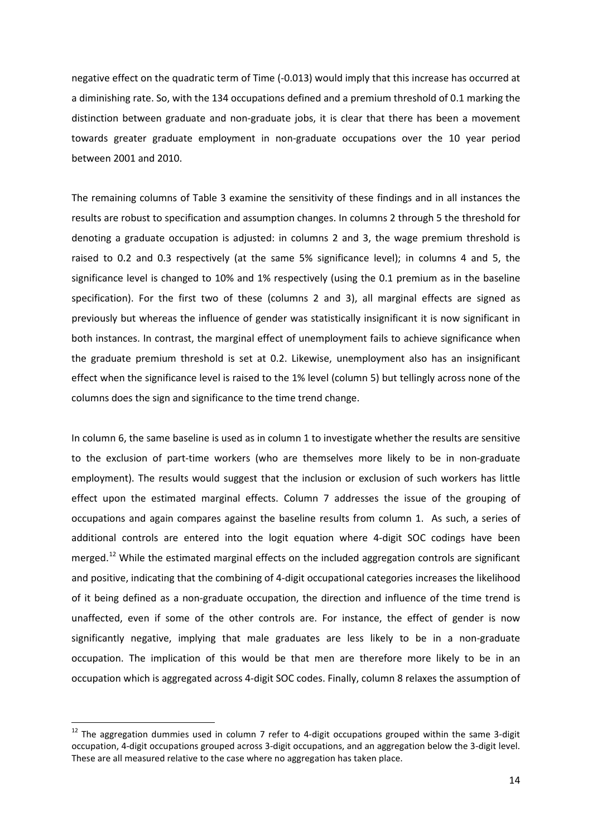negative effect on the quadratic term of Time (-0.013) would imply that this increase has occurred at a diminishing rate. So, with the 134 occupations defined and a premium threshold of 0.1 marking the distinction between graduate and non-graduate jobs, it is clear that there has been a movement towards greater graduate employment in non-graduate occupations over the 10 year period between 2001 and 2010.

The remaining columns of Table 3 examine the sensitivity of these findings and in all instances the results are robust to specification and assumption changes. In columns 2 through 5 the threshold for denoting a graduate occupation is adjusted: in columns 2 and 3, the wage premium threshold is raised to 0.2 and 0.3 respectively (at the same 5% significance level); in columns 4 and 5, the significance level is changed to 10% and 1% respectively (using the 0.1 premium as in the baseline specification). For the first two of these (columns 2 and 3), all marginal effects are signed as previously but whereas the influence of gender was statistically insignificant it is now significant in both instances. In contrast, the marginal effect of unemployment fails to achieve significance when the graduate premium threshold is set at 0.2. Likewise, unemployment also has an insignificant effect when the significance level is raised to the 1% level (column 5) but tellingly across none of the columns does the sign and significance to the time trend change.

In column 6, the same baseline is used as in column 1 to investigate whether the results are sensitive to the exclusion of part-time workers (who are themselves more likely to be in non-graduate employment). The results would suggest that the inclusion or exclusion of such workers has little effect upon the estimated marginal effects. Column 7 addresses the issue of the grouping of occupations and again compares against the baseline results from column 1. As such, a series of additional controls are entered into the logit equation where 4-digit SOC codings have been merged.<sup>[12](#page-14-1)</sup> While the estimated marginal effects on the included aggregation controls are significant and positive, indicating that the combining of 4-digit occupational categories increases the likelihood of it being defined as a non-graduate occupation, the direction and influence of the time trend is unaffected, even if some of the other controls are. For instance, the effect of gender is now significantly negative, implying that male graduates are less likely to be in a non-graduate occupation. The implication of this would be that men are therefore more likely to be in an occupation which is aggregated across 4-digit SOC codes. Finally, column 8 relaxes the assumption of

<span id="page-16-0"></span> $12$  The aggregation dummies used in column 7 refer to 4-digit occupations grouped within the same 3-digit occupation, 4-digit occupations grouped across 3-digit occupations, and an aggregation below the 3-digit level. These are all measured relative to the case where no aggregation has taken place.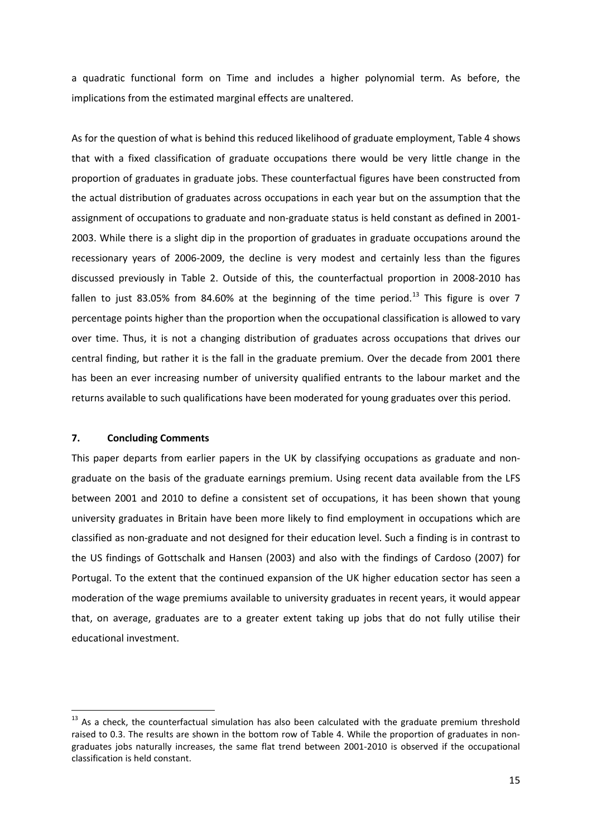a quadratic functional form on Time and includes a higher polynomial term. As before, the implications from the estimated marginal effects are unaltered.

As for the question of what is behind this reduced likelihood of graduate employment, Table 4 shows that with a fixed classification of graduate occupations there would be very little change in the proportion of graduates in graduate jobs. These counterfactual figures have been constructed from the actual distribution of graduates across occupations in each year but on the assumption that the assignment of occupations to graduate and non-graduate status is held constant as defined in 2001- 2003. While there is a slight dip in the proportion of graduates in graduate occupations around the recessionary years of 2006-2009, the decline is very modest and certainly less than the figures discussed previously in Table 2. Outside of this, the counterfactual proportion in 2008-2010 has fallen to just 83.05% from 84.60% at the beginning of the time period.<sup>[13](#page-16-0)</sup> This figure is over 7 percentage points higher than the proportion when the occupational classification is allowed to vary over time. Thus, it is not a changing distribution of graduates across occupations that drives our central finding, but rather it is the fall in the graduate premium. Over the decade from 2001 there has been an ever increasing number of university qualified entrants to the labour market and the returns available to such qualifications have been moderated for young graduates over this period.

#### **7. Concluding Comments**

This paper departs from earlier papers in the UK by classifying occupations as graduate and nongraduate on the basis of the graduate earnings premium. Using recent data available from the LFS between 2001 and 2010 to define a consistent set of occupations, it has been shown that young university graduates in Britain have been more likely to find employment in occupations which are classified as non-graduate and not designed for their education level. Such a finding is in contrast to the US findings of Gottschalk and Hansen (2003) and also with the findings of Cardoso (2007) for Portugal. To the extent that the continued expansion of the UK higher education sector has seen a moderation of the wage premiums available to university graduates in recent years, it would appear that, on average, graduates are to a greater extent taking up jobs that do not fully utilise their educational investment.

<sup>&</sup>lt;sup>13</sup> As a check, the counterfactual simulation has also been calculated with the graduate premium threshold raised to 0.3. The results are shown in the bottom row of Table 4. While the proportion of graduates in nongraduates jobs naturally increases, the same flat trend between 2001-2010 is observed if the occupational classification is held constant.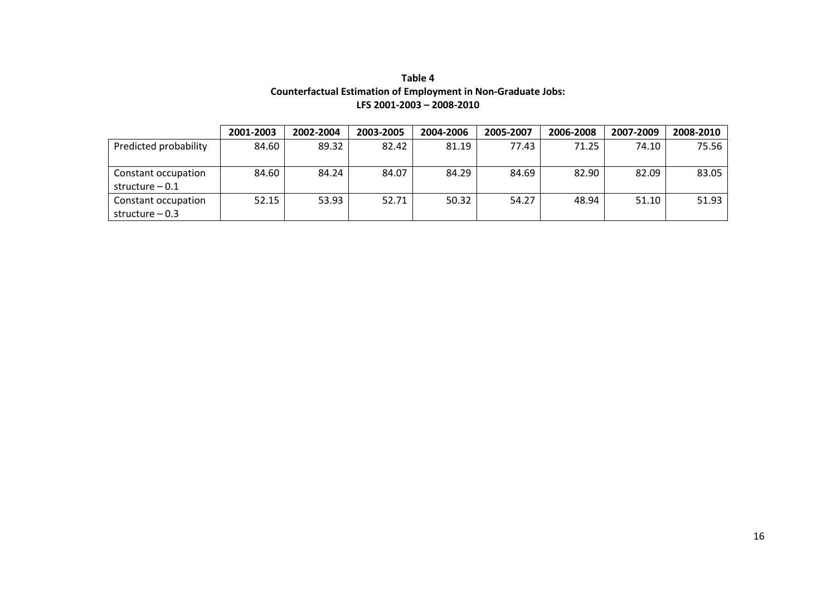| Table 4                                                              |  |
|----------------------------------------------------------------------|--|
| <b>Counterfactual Estimation of Employment in Non-Graduate Jobs:</b> |  |
| LFS 2001-2003 - 2008-2010                                            |  |

|                       | 2001-2003 | 2002-2004 | 2003-2005 | 2004-2006 | 2005-2007 | 2006-2008 | 2007-2009 | 2008-2010 |
|-----------------------|-----------|-----------|-----------|-----------|-----------|-----------|-----------|-----------|
| Predicted probability | 84.60     | 89.32     | 82.42     | 81.19     | 77.43     | 71.25     | 74.10     | 75.56     |
|                       |           |           |           |           |           |           |           |           |
| Constant occupation   | 84.60     | 84.24     | 84.07     | 84.29     | 84.69     | 82.90     | 82.09     | 83.05     |
| structure $-0.1$      |           |           |           |           |           |           |           |           |
| Constant occupation   | 52.15     | 53.93     | 52.71     | 50.32     | 54.27     | 48.94     | 51.10     | 51.93     |
| structure $-0.3$      |           |           |           |           |           |           |           |           |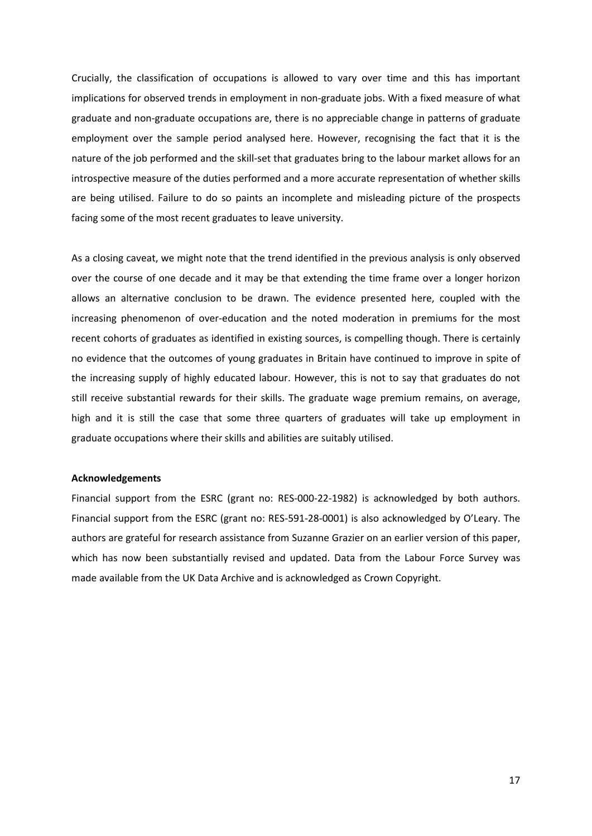Crucially, the classification of occupations is allowed to vary over time and this has important implications for observed trends in employment in non-graduate jobs. With a fixed measure of what graduate and non-graduate occupations are, there is no appreciable change in patterns of graduate employment over the sample period analysed here. However, recognising the fact that it is the nature of the job performed and the skill-set that graduates bring to the labour market allows for an introspective measure of the duties performed and a more accurate representation of whether skills are being utilised. Failure to do so paints an incomplete and misleading picture of the prospects facing some of the most recent graduates to leave university.

As a closing caveat, we might note that the trend identified in the previous analysis is only observed over the course of one decade and it may be that extending the time frame over a longer horizon allows an alternative conclusion to be drawn. The evidence presented here, coupled with the increasing phenomenon of over-education and the noted moderation in premiums for the most recent cohorts of graduates as identified in existing sources, is compelling though. There is certainly no evidence that the outcomes of young graduates in Britain have continued to improve in spite of the increasing supply of highly educated labour. However, this is not to say that graduates do not still receive substantial rewards for their skills. The graduate wage premium remains, on average, high and it is still the case that some three quarters of graduates will take up employment in graduate occupations where their skills and abilities are suitably utilised.

#### **Acknowledgements**

Financial support from the ESRC (grant no: RES-000-22-1982) is acknowledged by both authors. Financial support from the ESRC (grant no: RES-591-28-0001) is also acknowledged by O'Leary. The authors are grateful for research assistance from Suzanne Grazier on an earlier version of this paper, which has now been substantially revised and updated. Data from the Labour Force Survey was made available from the UK Data Archive and is acknowledged as Crown Copyright.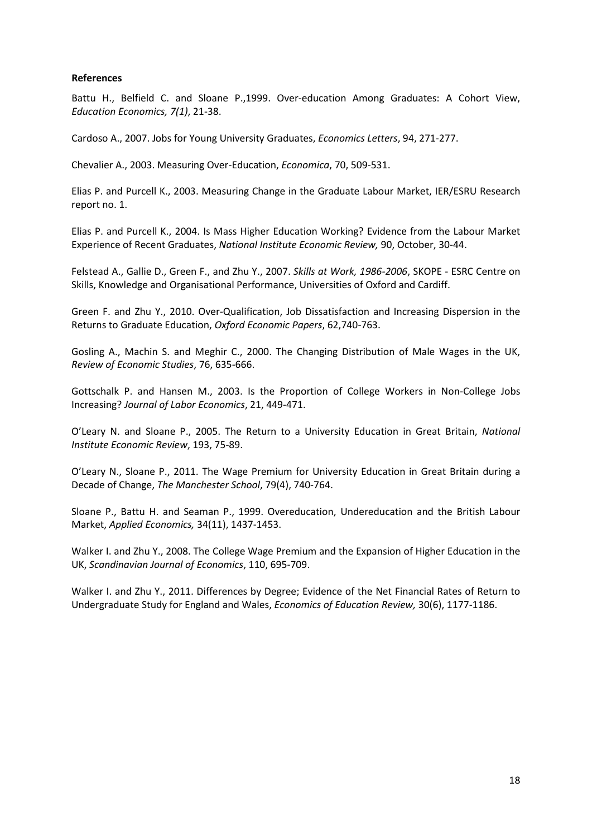#### **References**

Battu H., Belfield C. and Sloane P.,1999. Over-education Among Graduates: A Cohort View, *Education Economics, 7(1)*, 21-38.

Cardoso A., 2007. Jobs for Young University Graduates, *Economics Letters*, 94, 271-277.

Chevalier A., 2003. Measuring Over-Education, *Economica*, 70, 509-531.

Elias P. and Purcell K., 2003. Measuring Change in the Graduate Labour Market, IER/ESRU Research report no. 1.

Elias P. and Purcell K., 2004. Is Mass Higher Education Working? Evidence from the Labour Market Experience of Recent Graduates, *National Institute Economic Review,* 90, October, 30-44.

Felstead A., Gallie D., Green F., and Zhu Y., 2007. *Skills at Work, 1986-2006*, SKOPE - ESRC Centre on Skills, Knowledge and Organisational Performance, Universities of Oxford and Cardiff.

Green F. and Zhu Y., 2010. Over-Qualification, Job Dissatisfaction and Increasing Dispersion in the Returns to Graduate Education, *Oxford Economic Papers*, 62,740-763.

Gosling A., Machin S. and Meghir C., 2000. The Changing Distribution of Male Wages in the UK, *Review of Economic Studies*, 76, 635-666.

Gottschalk P. and Hansen M., 2003. Is the Proportion of College Workers in Non-College Jobs Increasing? *Journal of Labor Economics*, 21, 449-471.

O'Leary N. and Sloane P., 2005. The Return to a University Education in Great Britain, *National Institute Economic Review*, 193, 75-89.

O'Leary N., Sloane P., 2011. The Wage Premium for University Education in Great Britain during a Decade of Change, *The Manchester School*, 79(4), 740-764.

Sloane P., Battu H. and Seaman P., 1999. Overeducation, Undereducation and the British Labour Market, *Applied Economics,* 34(11), 1437-1453.

Walker I. and Zhu Y., 2008. The College Wage Premium and the Expansion of Higher Education in the UK, *Scandinavian Journal of Economics*, 110, 695-709.

Walker I. and Zhu Y., 2011. Differences by Degree; Evidence of the Net Financial Rates of Return to Undergraduate Study for England and Wales, *Economics of Education Review,* 30(6), 1177-1186.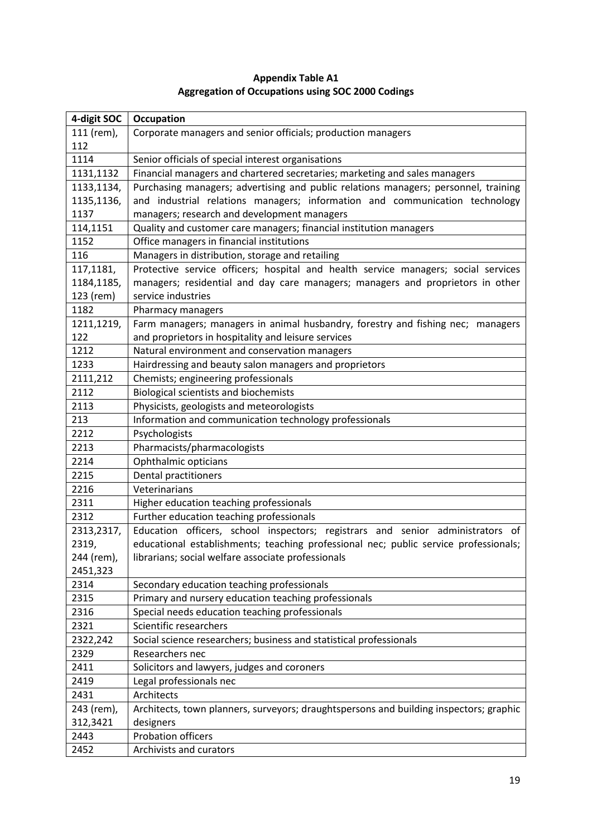| 4-digit SOC | Occupation                                                                             |
|-------------|----------------------------------------------------------------------------------------|
| 111 (rem),  | Corporate managers and senior officials; production managers                           |
| 112         |                                                                                        |
| 1114        | Senior officials of special interest organisations                                     |
| 1131,1132   | Financial managers and chartered secretaries; marketing and sales managers             |
| 1133,1134,  | Purchasing managers; advertising and public relations managers; personnel, training    |
| 1135,1136,  | and industrial relations managers; information and communication technology            |
| 1137        | managers; research and development managers                                            |
| 114,1151    | Quality and customer care managers; financial institution managers                     |
| 1152        | Office managers in financial institutions                                              |
| 116         | Managers in distribution, storage and retailing                                        |
| 117,1181,   | Protective service officers; hospital and health service managers; social services     |
| 1184,1185,  | managers; residential and day care managers; managers and proprietors in other         |
| 123 (rem)   | service industries                                                                     |
| 1182        | Pharmacy managers                                                                      |
| 1211,1219,  | Farm managers; managers in animal husbandry, forestry and fishing nec; managers        |
| 122         | and proprietors in hospitality and leisure services                                    |
| 1212        | Natural environment and conservation managers                                          |
| 1233        | Hairdressing and beauty salon managers and proprietors                                 |
| 2111,212    | Chemists; engineering professionals                                                    |
| 2112        | <b>Biological scientists and biochemists</b>                                           |
| 2113        | Physicists, geologists and meteorologists                                              |
| 213         | Information and communication technology professionals                                 |
| 2212        | Psychologists                                                                          |
| 2213        | Pharmacists/pharmacologists                                                            |
| 2214        | Ophthalmic opticians                                                                   |
| 2215        | Dental practitioners                                                                   |
| 2216        | Veterinarians                                                                          |
| 2311        | Higher education teaching professionals                                                |
| 2312        | Further education teaching professionals                                               |
| 2313,2317,  | Education officers, school inspectors; registrars and senior administrators of         |
| 2319,       | educational establishments; teaching professional nec; public service professionals;   |
| 244 (rem),  | librarians; social welfare associate professionals                                     |
| 2451,323    |                                                                                        |
| 2314        | Secondary education teaching professionals                                             |
| 2315        | Primary and nursery education teaching professionals                                   |
| 2316        | Special needs education teaching professionals                                         |
| 2321        | Scientific researchers                                                                 |
| 2322,242    | Social science researchers; business and statistical professionals                     |
| 2329        | Researchers nec                                                                        |
| 2411        | Solicitors and lawyers, judges and coroners                                            |
| 2419        | Legal professionals nec                                                                |
| 2431        | Architects                                                                             |
| 243 (rem),  | Architects, town planners, surveyors; draughtspersons and building inspectors; graphic |
| 312,3421    | designers                                                                              |
| 2443        | <b>Probation officers</b>                                                              |
| 2452        | Archivists and curators                                                                |

## **Appendix Table A1 Aggregation of Occupations using SOC 2000 Codings**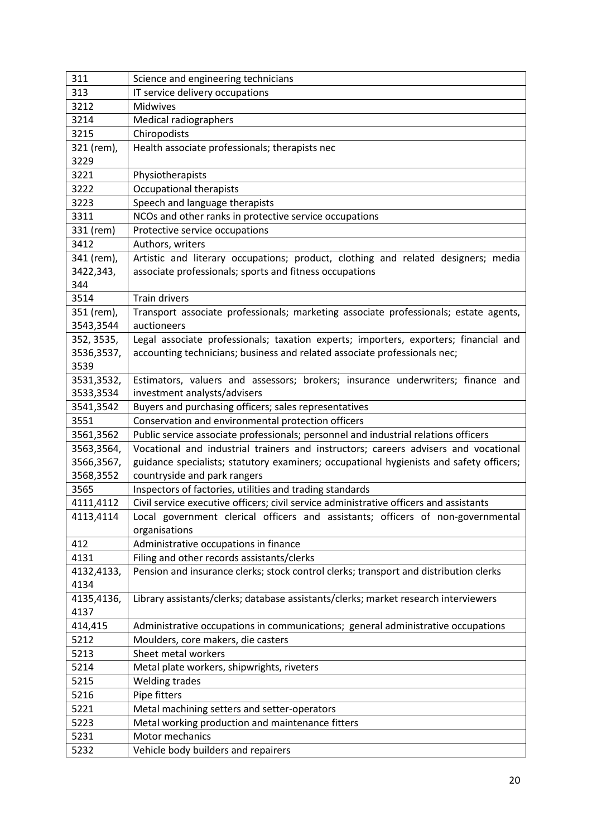| 311        | Science and engineering technicians                                                     |
|------------|-----------------------------------------------------------------------------------------|
| 313        | IT service delivery occupations                                                         |
| 3212       | Midwives                                                                                |
| 3214       | Medical radiographers                                                                   |
| 3215       | Chiropodists                                                                            |
| 321 (rem), | Health associate professionals; therapists nec                                          |
| 3229       |                                                                                         |
| 3221       | Physiotherapists                                                                        |
| 3222       | <b>Occupational therapists</b>                                                          |
| 3223       | Speech and language therapists                                                          |
| 3311       | NCOs and other ranks in protective service occupations                                  |
| 331 (rem)  | Protective service occupations                                                          |
| 3412       | Authors, writers                                                                        |
| 341 (rem), | Artistic and literary occupations; product, clothing and related designers; media       |
| 3422,343,  | associate professionals; sports and fitness occupations                                 |
| 344        |                                                                                         |
| 3514       | <b>Train drivers</b>                                                                    |
| 351 (rem), | Transport associate professionals; marketing associate professionals; estate agents,    |
| 3543,3544  | auctioneers                                                                             |
| 352, 3535, | Legal associate professionals; taxation experts; importers, exporters; financial and    |
| 3536,3537, | accounting technicians; business and related associate professionals nec;               |
| 3539       |                                                                                         |
| 3531,3532, | Estimators, valuers and assessors; brokers; insurance underwriters; finance and         |
| 3533,3534  | investment analysts/advisers                                                            |
| 3541,3542  | Buyers and purchasing officers; sales representatives                                   |
| 3551       | Conservation and environmental protection officers                                      |
| 3561,3562  | Public service associate professionals; personnel and industrial relations officers     |
| 3563,3564, | Vocational and industrial trainers and instructors; careers advisers and vocational     |
| 3566,3567, | guidance specialists; statutory examiners; occupational hygienists and safety officers; |
| 3568,3552  | countryside and park rangers                                                            |
| 3565       | Inspectors of factories, utilities and trading standards                                |
| 4111,4112  | Civil service executive officers; civil service administrative officers and assistants  |
| 4113,4114  | Local government clerical officers and assistants; officers of non-governmental         |
|            | organisations                                                                           |
| 412        | Administrative occupations in finance                                                   |
| 4131       | Filing and other records assistants/clerks                                              |
| 4132,4133, | Pension and insurance clerks; stock control clerks; transport and distribution clerks   |
| 4134       |                                                                                         |
| 4135,4136, | Library assistants/clerks; database assistants/clerks; market research interviewers     |
| 4137       |                                                                                         |
| 414,415    | Administrative occupations in communications; general administrative occupations        |
| 5212       | Moulders, core makers, die casters                                                      |
| 5213       | Sheet metal workers                                                                     |
| 5214       | Metal plate workers, shipwrights, riveters                                              |
| 5215       | <b>Welding trades</b>                                                                   |
| 5216       | Pipe fitters                                                                            |
| 5221       | Metal machining setters and setter-operators                                            |
| 5223       | Metal working production and maintenance fitters                                        |
| 5231       | Motor mechanics                                                                         |
| 5232       | Vehicle body builders and repairers                                                     |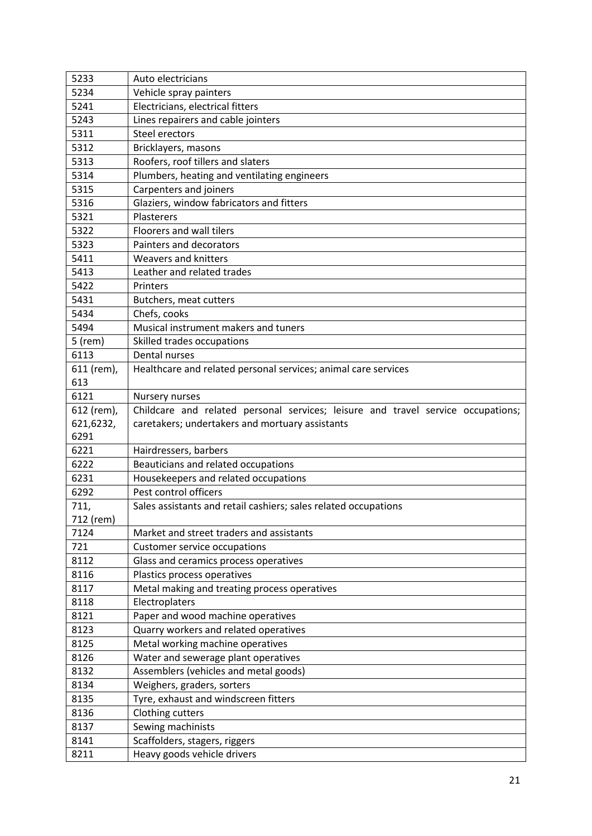| 5233         | Auto electricians                                                                |
|--------------|----------------------------------------------------------------------------------|
| 5234         | Vehicle spray painters                                                           |
| 5241         | Electricians, electrical fitters                                                 |
| 5243         | Lines repairers and cable jointers                                               |
| 5311         | Steel erectors                                                                   |
| 5312         | Bricklayers, masons                                                              |
| 5313         | Roofers, roof tillers and slaters                                                |
| 5314         | Plumbers, heating and ventilating engineers                                      |
| 5315         | Carpenters and joiners                                                           |
| 5316         | Glaziers, window fabricators and fitters                                         |
| 5321         | Plasterers                                                                       |
| 5322         | Floorers and wall tilers                                                         |
| 5323         | Painters and decorators                                                          |
| 5411         | Weavers and knitters                                                             |
| 5413         | Leather and related trades                                                       |
| 5422         | Printers                                                                         |
| 5431         | Butchers, meat cutters                                                           |
| 5434         | Chefs, cooks                                                                     |
| 5494         | Musical instrument makers and tuners                                             |
| $5$ (rem)    | Skilled trades occupations                                                       |
| 6113         | Dental nurses                                                                    |
| 611 (rem),   | Healthcare and related personal services; animal care services                   |
| 613          |                                                                                  |
| 6121         | Nursery nurses                                                                   |
| 612 (rem),   | Childcare and related personal services; leisure and travel service occupations; |
|              |                                                                                  |
| 621,6232,    | caretakers; undertakers and mortuary assistants                                  |
| 6291         |                                                                                  |
| 6221         | Hairdressers, barbers                                                            |
| 6222         | Beauticians and related occupations                                              |
| 6231         | Housekeepers and related occupations                                             |
| 6292         | Pest control officers                                                            |
| 711,         | Sales assistants and retail cashiers; sales related occupations                  |
| 712 (rem)    |                                                                                  |
| 7124         | Market and street traders and assistants                                         |
| 721          | Customer service occupations                                                     |
| 8112         | Glass and ceramics process operatives                                            |
| 8116         | Plastics process operatives                                                      |
| 8117         | Metal making and treating process operatives                                     |
| 8118         | Electroplaters                                                                   |
| 8121         | Paper and wood machine operatives                                                |
| 8123         | Quarry workers and related operatives                                            |
| 8125         | Metal working machine operatives                                                 |
| 8126         | Water and sewerage plant operatives                                              |
| 8132         | Assemblers (vehicles and metal goods)                                            |
| 8134         | Weighers, graders, sorters                                                       |
| 8135         | Tyre, exhaust and windscreen fitters                                             |
| 8136         | Clothing cutters                                                                 |
| 8137         | Sewing machinists                                                                |
| 8141<br>8211 | Scaffolders, stagers, riggers<br>Heavy goods vehicle drivers                     |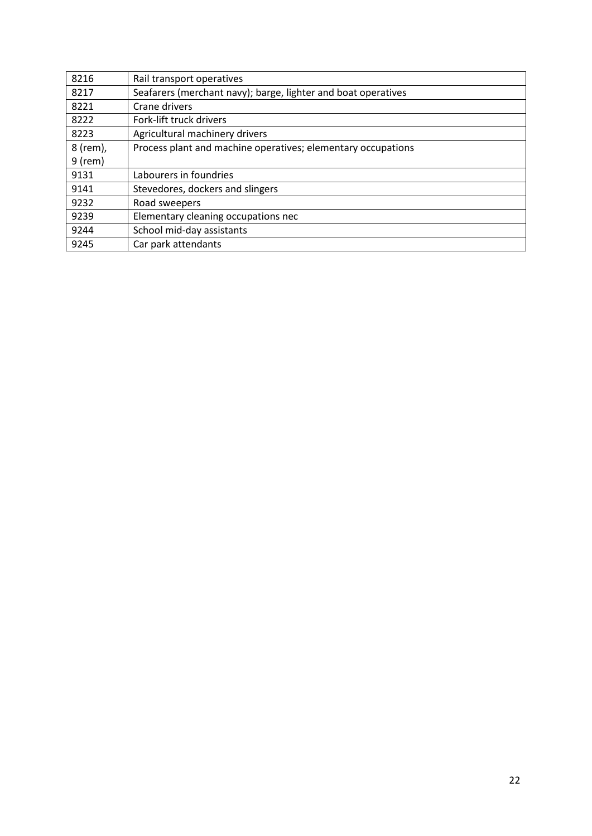| 8216      | Rail transport operatives                                     |
|-----------|---------------------------------------------------------------|
| 8217      | Seafarers (merchant navy); barge, lighter and boat operatives |
| 8221      | Crane drivers                                                 |
| 8222      | Fork-lift truck drivers                                       |
| 8223      | Agricultural machinery drivers                                |
| 8 (rem),  | Process plant and machine operatives; elementary occupations  |
| $9$ (rem) |                                                               |
| 9131      | Labourers in foundries                                        |
| 9141      | Stevedores, dockers and slingers                              |
| 9232      | Road sweepers                                                 |
| 9239      | Elementary cleaning occupations nec                           |
| 9244      | School mid-day assistants                                     |
| 9245      | Car park attendants                                           |